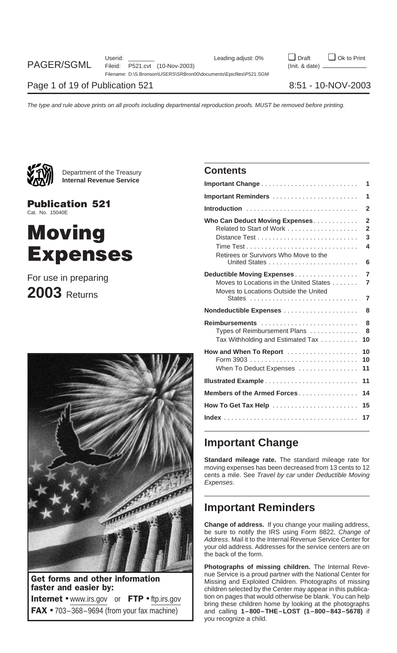

Department of the Treasury **Contents Internal Revenue Service** 

**Publication 521** Cat. No. 15040E

# **Moving Expenses**

# **For use in preparing 2003** Returns



 $FAX \cdot 703-368-9694$  (from your fax machine)

|                                                                                                                | 1                                          |
|----------------------------------------------------------------------------------------------------------------|--------------------------------------------|
|                                                                                                                | 1                                          |
| Introduction                                                                                                   | $\overline{2}$                             |
| Who Can Deduct Moving Expenses<br>Retirees or Survivors Who Move to the                                        | $\overline{2}$<br>$\overline{2}$<br>3<br>4 |
|                                                                                                                | 6                                          |
| Deductible Moving Expenses<br>Moves to Locations in the United States<br>Moves to Locations Outside the United | $\overline{7}$<br>7                        |
|                                                                                                                | 7                                          |
| Nondeductible Expenses                                                                                         | 8                                          |
| Reimbursements<br>Types of Reimbursement Plans<br>Tax Withholding and Estimated Tax                            | 8<br>8<br>10                               |
| How and When To Report<br>When To Deduct Expenses                                                              | 10<br>10<br>11                             |
|                                                                                                                | 11                                         |
| Members of the Armed Forces                                                                                    | 14                                         |
| How To Get Tax Help                                                                                            | 15                                         |
|                                                                                                                | 17                                         |

# **Important Change**

**Standard mileage rate.** The standard mileage rate for moving expenses has been decreased from 13 cents to 12 cents a mile. See Travel by car under Deductible Moving Expenses.

# **Important Reminders**

**Change of address.** If you change your mailing address, be sure to notify the IRS using Form 8822, Change of Address. Mail it to the Internal Revenue Service Center for your old address. Addresses for the service centers are on the back of the form.

**Photographs of missing children.** The Internal Reve**and other information**<br> **Exploited Children.** Photographs of missing and Exploited Children. Photographs of missing children selected by the Center may appear in this publicachildren selected by the Center may appear in this publica-Internet • www.irs.gov or FTP • ftp.irs.gov is be blank. You can help bring these children home by looking at the photographs bring these children home by looking at the photographs and calling 1-800-THE-LOST (1-800-843-56 you recognize a child.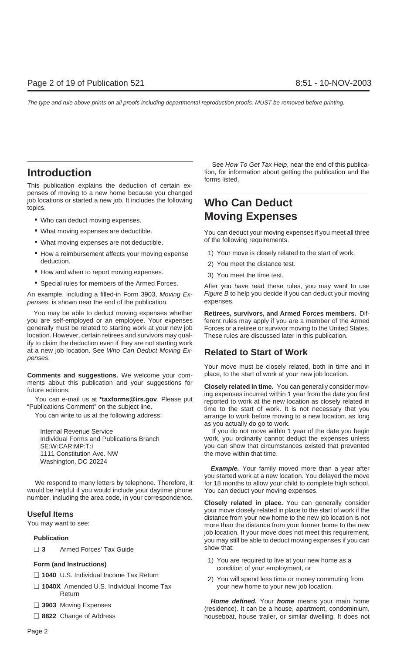This publication explains the deduction of certain expenses of moving to a new home because you changed job locations or started a new job. It includes the following **Who Can Deduct** topics.

- 
- 
- What moving expenses are not deductible. The following requirements.
- How a reimbursement affects your moving expense 1) Your move is closely related to the start of work. deduction. **2)** You meet the distance test.
- How and when to report moving expenses. 3) You meet the time test.
- 

penses, is shown near the end of the publication. expenses.

you are self-employed or an employee. Your expenses ferent rules may apply if you are a member of the Armed generally must be related to starting work at your new job<br>location. However, certain retirees and survivors may qual-<br>These rules are discussed later in this publication. location. However, certain retirees and survivors may qualify to claim the deduction even if they are not starting work at a new job location. See Who Can Deduct Moving Ex- **Related to Start of Work** penses.

**Comments and suggestions.** We welcome your com- place, to the start of work at your new job location.

1111 Constitution Ave. NW Washington, DC 20224

would be helpful if you would include your daytime phone You can deduct your moving expenses.<br>number, including the area code, in your correspondence.

❏ **3** Armed Forces' Tax Guide show that:

- ❏ **<sup>1040</sup>** U.S. Individual Income Tax Return 2) You will spend less time or money commuting from
- ❏ **1040X** Amended U.S. Individual Income Tax your new home to your new job location. Return
- 
- 

See How To Get Tax Help, near the end of this publica-**Introduction Infroduction Introduction Intervalsion Information** about getting the publication and the forms listed.

# • Who can deduct moving expenses. **Moving Expenses**

• What moving expenses are deductible. You can deduct your moving expenses if you meet all three

- 
- 
- 

• Special rules for members of the Armed Forces. After you have read these rules, you may want to use An example, including a filled-in Form 3903, Moving Ex- Figure B to help you decide if you can deduct your moving

You may be able to deduct moving expenses whether **Retirees, survivors, and Armed Forces members.** Dif-

Your move must be closely related, both in time and in

ments about this publication and your suggestions for<br>future editions.<br>You can e-mail us at **\*taxforms@irs.gov**. Please put<br>"Publications Comment" on the subject line.<br>"Publications Comment" on the subject line.<br>You can wr arrange to work before moving to a new location, as long as you actually do go to work.

Internal Revenue Service **If you do not move within 1 year of the date you begin** Individual Forms and Publications Branch work, you ordinarily cannot deduct the expenses unless SE:W:CAR:MP:T:I<br>1111 Constitution Ave NW 1111 Constitution Ave NW 1111 Constitution Ave NW

**Example.** Your family moved more than a year after you started work at a new location. You delayed the move We respond to many letters by telephone. Therefore, it for 18 months to allow your child to complete high school.

Closely related in place. You can generally consider **Useful Items**<br> **V** Vou may want to see:<br>
You may want to see:<br> **V** Vou may want to see:<br> **V** Vou may want to see:<br> **V** Vou may want to see: job location. If your move does not meet this requirement,<br>you may still be able to deduct moving expenses if you can

- 1) You are required to live at your new home as a **Form (and Instructions)** condition of your employment, or
	-

**Home defined.** Your **home** means your main home ❏ **<sup>3903</sup>** Moving Expenses (residence). It can be a house, apartment, condominium, ❏ **8822** Change of Address houseboat, house trailer, or similar dwelling. It does not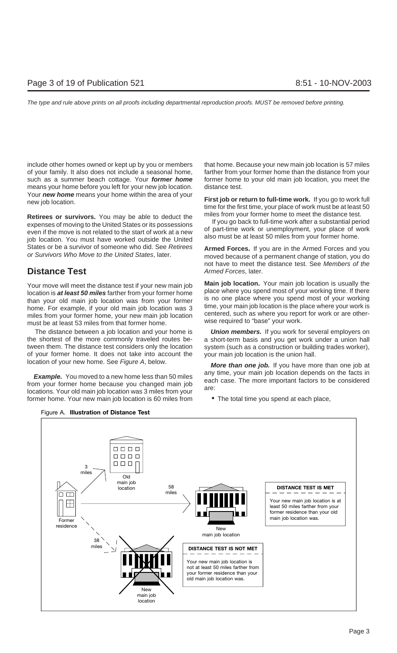include other homes owned or kept up by you or members that home. Because your new main job location is 57 miles of your family. It also does not include a seasonal home, farther from your former home than the distance from your such as a summer beach cottage. Your **former home** former home to your old main job location, you meet the means your home before you left for your new job location. distance test. Your **new home** means your home within the area of your<br>**First job or return to full-time work.** If you go to work full<br>time for the first time, your place of work must be at least 50

**Retirees or survivors.** You may be able to deduct the miles from your former home to meet the distance test.<br>expenses of moving to the United States or its possessions even if the move is not related to the start of work States or be a survivor of someone who did. See Retirees **Armed Forces.** If you are in the Armed Forces and you or Survivors Who Move to the United States, later. moved because of a permanent change of station, you do

location is **at least 50 miles** farther from your former home<br>than your old main job location was from your former<br>home. For example, if your old main job location was 3<br>miles from your former home your new main job locati miles from your former home, your new main job location centered, such as where you report for work. must be at least 53 miles from that former home.

The distance between a job location and your home is **Union members.** If you work for several employers on the shortest of the more commonly traveled routes be- a short-term basis and you get work under a union hall tween them. The distance test considers only the location system (such as a construction or building trades worker), of your former home. It does not take into account the your main job location is the union hall. location of your new home. See Figure A, below.<br>**More than one job.** If you have more than one job at

former home. Your new main job location is 60 miles from • The total time you spend at each place,

not have to meet the distance test. See Members of the **Distance Test Armed Forces**, later.

Your move will meet the distance test if your new main job **Main job location.** Your main job location is usually the location is at least 50 miles farther from your former home place where you spend most of your working t

**Example.** You moved to a new home less than 50 miles any time, your main job location depends on the facts in from your former home because you changed main job each case. The more important factors to be considered locat

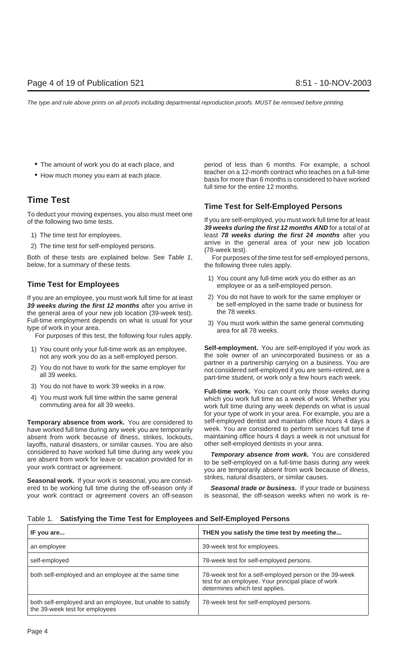- 
- 

# **Time Test**

To deduct your moving expenses, you also must meet one

- 
- 

below, for a summary of these tests. The following three rules apply.

**39 weeks during the first 12 months** after you arrive in the self-employ<br>the general area of your new job location (39-week test) the 78 weeks. the general area of your new job location (39-week test). Full-time employment depends on what is usual for your 3) You must work within the same general commuting type of work in your area.

For purposes of this test, the following four rules apply.

- 
- 
- 
- 

have worked full time during any week you are temporarily absent from work because of illness, strikes, lockouts, maintaining office hours 4 days a week is not unusual for<br>lavoffs, natural disasters, or similar causes. You are also other self-employed dentists in your area. layoffs, natural disasters, or similar causes. You are also considered to have worked full time during any week you<br>are absent from work for leave or vacation provided for in<br>your work contract or agreement.<br>you are temporarily absent from work because of illness.

strikes, natural disasters, or similar causes. **Seasonal work.** If your work is seasonal, you are considered to be working full time during the off-season only if **Seasonal trade or business.** If your trade or business your work contract or agreement covers an off-season is seasonal, the off-season weeks when no work is re-

• The amount of work you do at each place, and period of less than 6 months. For example, a school ■ How much money you earn at each place. basis for more than 6 months is considered to have worked<br>basis for more than 6 months is considered to have worked full time for the entire 12 months.

# **Time Test for Self-Employed Persons**

of the following two time tests. If you are self-employed, you must work full time for at least **39 weeks during the first 12 months AND** for a total of at 1) The time test for employees. least **78 weeks during the first 24 months** after you arrive in the general area of your new job location 2) The time test for self-employed persons. (78-week test).

Both of these tests are explained below. See Table 1, For purposes of the time test for self-employed persons,

- **1)** You count any full-time work you do either as an **Time Test for Employees employee** or as a self-employed person.
- If you are an employee, you must work full time for at least 2) You do not have to work for the same employer or<br>39 weeks during the first 12 months after you arrive in be self-employed in the same trade or business for
	-

1) You count only your full-time work as an employee, **Self-employment.** You are self-employed if you work as not any work you do as a self-employed person. The sole owner of an unincorporated business or as a<br>partner in a partnership carrying on a business. You are 2) You do not have to work for the same employer for<br>all 39 weeks.<br>all 39 weeks.<br>all 39 weeks.

3) You do not have to work 39 weeks in a row.<br>4) You must work full time within the same general<br>commuting area for all 39 weeks.<br>work full time during any week depends on what is usual<br>work full time during any week depen for your type of work in your area. For example, you are a **Temporary absence from work.** You are considered to self-employed dentist and maintain office hours 4 days a have worked full time during any week you are temporarily week. You are considered to perform services full time

| IF you are                                                                                  | THEN you satisfy the time test by meeting the                                                                                                  |
|---------------------------------------------------------------------------------------------|------------------------------------------------------------------------------------------------------------------------------------------------|
| an employee                                                                                 | 39-week test for employees.                                                                                                                    |
| self-employed                                                                               | 78-week test for self-employed persons.                                                                                                        |
| both self-employed and an employee at the same time                                         | 78-week test for a self-employed person or the 39-week<br>test for an employee. Your principal place of work<br>determines which test applies. |
| both self-employed and an employee, but unable to satisfy<br>the 39-week test for employees | 78-week test for self-employed persons.                                                                                                        |

Table 1. **Satisfying the Time Test for Employees and Self-Employed Persons**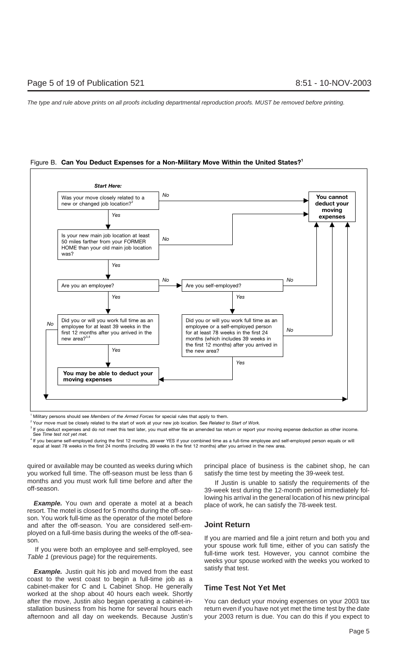



<sup>1</sup> Military persons should see *Members of the Armed Forces* for special rules that apply to them.

<sup>2</sup> Your move must be closely related to the start of work at your new job location. See *Related to Start of Work.*

 $3$  If you deduct expenses and do not meet this test later, you must either file an amended tax return or report your moving expense deduction as other income. See *Time test not yet met.*

<sup>4</sup> If you became self-employed during the first 12 months, answer YES if your combined time as a full-time employee and self-employed person equals or will equal at least 78 weeks in the first 24 months (including 39 weeks in the first 12 months) after you arrived in the new area.

you worked full time. The off-season must be less than 6 satisfy the time test by meeting the 39-week test. months and you must work full time before and after the If Justin is unable to satisfy the requirements of the<br>off-season. 39-week test during the 12-month period immediately fol-

son. You work full-time as the operator of the motel before and after the off-season. You are considered self-em- **Joint Return**

**Example.** Justin quit his job and moved from the east satisfy that test. coast to the west coast to begin a full-time job as a cabinet-maker for C and L Cabinet Shop. He generally **Time Test Not Yet Met** worked at the shop about 40 hours each week. Shortly after the move, Justin also began operating a cabinet-in- You can deduct your moving expenses on your 2003 tax stallation business from his home for several hours each return even if you have not yet met the time test by the date afternoon and all day on weekends. Because Justin's your 2003 return is due. You can do this if you expect to

quired or available may be counted as weeks during which principal place of business is the cabinet shop, he can

lowing his arrival in the general location of his new principal<br>resort. The motel is closed for 5 months during the off-sea-<br>resort. The motel is closed for 5 months during the off-sea-

ployed on a full-time basis during the weeks of the off-sea-<br>son. If you are married and file a joint return and both you and<br>If you was spouse work full time, either of you can satisfy the If you were both an employee and self-employed, see<br>Table 1 (previous page) for the requirements.<br>Table 1 (previous page) for the requirements.<br>weeks your spouse worked with the weeks you worked to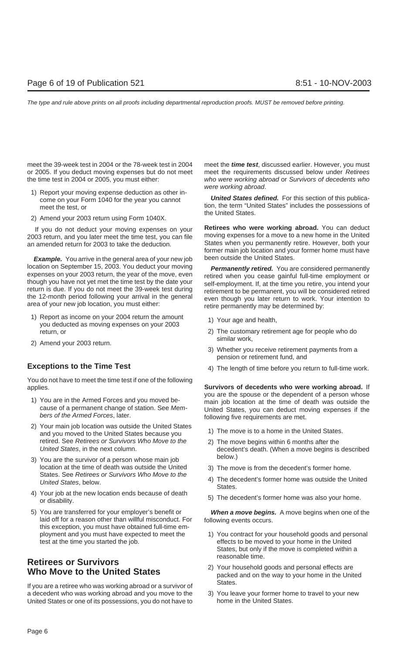meet the 39-week test in 2004 or the 78-week test in 2004 meet the **time test**, discussed earlier. However, you must or 2005. If you deduct moving expenses but do not meet meet the requirements discussed below under Retirees the time test in 2004 or 2005, you must either: who were working abroad or Survivors of decedents who

- were working abroad. 1) Report your moving expense deduction as other in- **United States defined.** For this section of this publica- come on your Form 1040 for the year you cannot
- 2) Amend your 2003 return using Form 1040X.

2003 return, and you later meet the time test, you can file

**Example.** You arrive in the general area of your new job been outside the United States.

- 1) Report as income on your 2004 return the amount 1) Your age and health, you deducted as moving expenses on your 2003
- 2) Amend your 2003 return.

You do not have to meet the time test if one of the following applies. **Survivors of decedents who were working abroad.** If

- 
- 2) Your main job location was outside the United States 2013 The move is to a home in the United States.<br>and you moved to the United States because you 2013. retired. See Retirees or Survivors Who Move to the 2) The move begins within 6 months after the United States, in the next column.
- below.) 3) You are the survivor of a person whose main job location at the time of death was outside the United  $\frac{3}{10}$  The move is from the decedent's former home.<br>States. See Retirees or Survivors Who Move to the
- 4) Your job at the new location ends because of death 5) The decedent's former home was also your home. or disability.
- 5) You are transferred for your employer's benefit or **When a move begins.** A move begins when one of the laid off for a reason other than willful misconduct. For following events occurs. this exception, you must have obtained full-time emtest at the time you started the job. effects to be moved to your home in the United

# **Retirees or Survivors**<br> **Retirees or Survivors**<br> **Who Move to the United States**<br> **Packed and on the way to your home in the United States**<br> **Packed and on the way to your home in the United States**

States. If you are a retiree who was working abroad or a survivor of a decedent who was working abroad and you move to the 3) You leave your former home to travel to your new<br>United States or one of its possessions, you do not have to bome in the United States. United States or one of its possessions, you do not have to

meet the test, or tion, the term "United States" includes the possessions of the United States.

If you do not deduct your moving expenses on your **Retirees who were working abroad.** You can deduct If you can deduct you can deduct you can deduct when the United an amended return for 2003 to take the deduction. States when you permanently retire. However, both your former main job location and your former home must have

location on September 15, 2003. You deduct your moving<br>expenses on your 2003 return, the year of the move, even<br>though you have not yet met the time test by the date your<br>return is due. If you do not meet the 39-week test

- 
- return, or 2) The customary retirement age for people who do<br>
<sup>2</sup>) The customary retirement age for people who do<br>
<sup>2</sup>) The customary retirement age for people who do
	- 3) Whether you receive retirement payments from a pension or retirement fund, and
- **Exceptions to the Time Test 4)** The length of time before you return to full-time work.

The Voultare in the Armed Forces and you moved be-<br>
cause of a permanent change of station. See *Mem*-<br>
bers of the Armed Forces, later.<br>
the following five requirements are met.

- 
- decedent's death. (When a move begins is described
- 
- States. See Retirees or Survivors Who Move to the 4) The decedent's former home was outside the United United States, below.<br>4) Your job at the new location ends because of death
	-

- ployment and you must have expected to meet the 1) You contract for your household goods and personal States, but only if the move is completed within a
	-
	-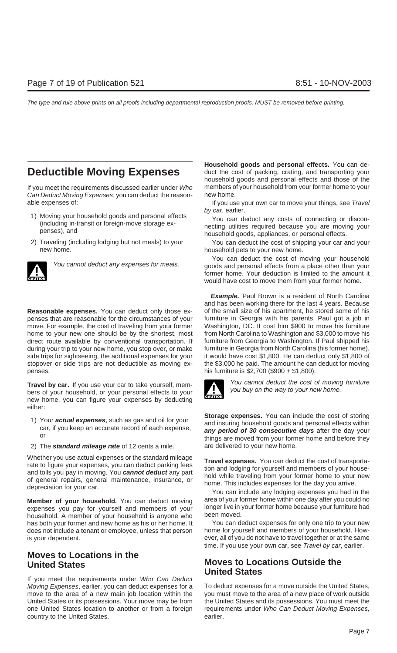If you meet the requirements discussed earlier under Who members of your household from your former home to your Can Deduct Moving Expenses, you can deduct the reason- new home.

- 
- new home. **household pets to your new home.** household pets to your new home.



**Reasonable expenses.** You can deduct only those ex- of the small size of his apartment, he stored some of his penses that are reasonable for the circumstances of your furniture in Georgia with his parents. Paul got a job in move. For example, the cost of traveling from your former Washington, DC. It cost him \$900 to move his furniture home to your new one should be by the shortest, most from North Carolina to Washington and \$3,000 to move his direct route available by conventional transportation. If furniture from Georgia to Washington. If Paul shipped his during your trip to your new home, you stop over, or make furniture in Georgia from North Carolina (his former home), side trips for sightseeing, the additional expenses for your it would have cost \$1,800. He can deduct only \$1,800 of stopover or side trips are not deductible as moving ex- the \$3,000 he paid. The amount he can deduct for moving penses. **his furniture is \$2,700 (\$900 + \$1,800)**.

Travel by car. If you use your car to take yourself, mem-<br>bers of your household, or your personal effects to your **CAUTION** you buy on the way to your new home. new home, you can figure your expenses by deducting either:

- 
- 2) The **standard mileage rate** of 12 cents a mile. are delivered to your new home.

Whether you use actual expenses or the standard mileage<br>rate to figure your expenses, you can deduct parking fees<br>and tolls you pay in moving. You can deduct parking fees<br>of general repairs, general maintenance, insurance,

expenses you pay for yourself and members of your longer live in your separation of vour household is anyone who household. A member of your household is anyone who has both your former and new home as his or her home. It You can deduct expenses for only one trip to your new does not include a tenant or employee, unless that person home for yourself and members of your household. Howis your dependent. ever, all of you do not have to travel together or at the same

# **Moves to Locations in the**

If you meet the requirements under Who Can Deduct Moving Expenses, earlier, you can deduct expenses for a To deduct expenses for a move outside the United States, move to the area of a new main job location within the you must move to the area of a new place of work outside United States or its possessions. Your move may be from the United States and its possessions. You must meet the one United States location to another or from a foreign requirements under Who Can Deduct Moving Expenses, country to the United States. The country to the United States.

**Household goods and personal effects.** You can de-**Deductible Moving Expenses** duct the cost of packing, crating, and transporting your household goods and personal effects and those of the

able expenses of: **If you use your own car to move your things**, see Travel

1) Moving your household goods and personal effects<br>(including in-transit or foreign-move storage ex-<br>penses), and<br>penses), and<br>penses and<br>personal effects.

2) Traveling (including lodging but not meals) to your You can deduct the cost of shipping your car and your

You can deduct the cost of moving your household<br>You cannot deduct any expenses for meals. goods and personal effects from a place other than your former home. Your deduction is limited to the amount it would have cost to move them from your former home.

> **Example.** Paul Brown is a resident of North Carolina and has been working there for the last 4 years. Because



1) Your **actual expenses**, such as gas and oil for your<br>car, if you keep an accurate record of each expense,<br>or<br>**and insuring household goods and personal effects within**<br>or<br>things are moved from your former home and befor

**Member of your household.** You can deduct moving area of your former home within one day after you could no<br>expenses you pay for yourself and members of your longer live in your former home because your furniture had

time. If you use your own car, see Travel by car, earlier.

# **United States Moves to Locations Outside the United States**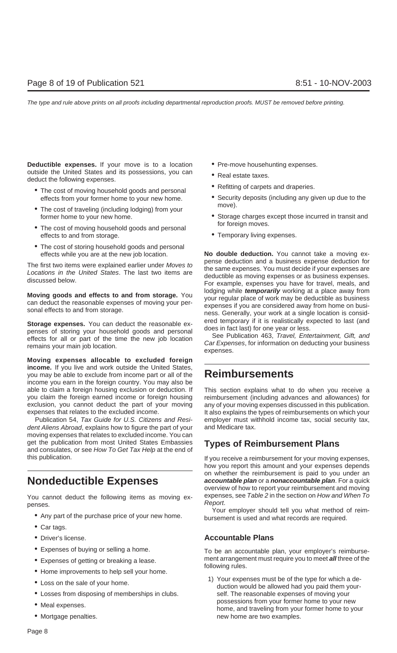**Deductible expenses.** If your move is to a location • Pre-move househunting expenses. outside the United States and its possessions, you can • Real estate taxes.<br>deduct the following expenses.

- The cost of moving household goods and personal Refitting of carpets and draperies.
- The cost of traveling (including lodging) from your move).
- The cost of moving household goods and personal **Following the cost of moves**. effects to and from storage.  $\bullet$  Temporary living expenses.
- The cost of storing household goods and personal

**Storage expenses.** You can deduct the reasonable ex-<br>penses of storing your household goods and personal<br>effects for all or part of the time the new job location<br>remains your main job location.<br>Ferencess, for information

**Moving expenses allocable to excluded foreign income.** If you live and work outside the United States, you may be able to exclude from income part or all of the **Reimbursements** income you earn in the foreign country. You may also be able to claim a foreign housing exclusion or deduction. If This section explains what to do when you receive a<br>you claim the foreign earned income or foreign housing reimbursement (including advances and allowances) for exclusion, you cannot deduct the part of your moving any of your moving expenses discussed in this publication. expenses that relates to the excluded income. It also explains the types of reimbursements on which your

dent Aliens Abroad, explains how to figure the part of your and Medicare tax. moving expenses that relates to excluded income. You can get the publication from most United States Embassies **Types of Reimbursement Plans** and consulates, or see How To Get Tax Help at the end of this publication. This publication.

penses. Report.

- 
- Car tags.
- 
- 
- 
- 
- 
- Losses from disposing of memberships in clubs. Self. The reasonable expenses of moving your
- 
- 
- 
- 
- 
- effects from your former home to your new home. Security deposits (including any given up due to the
- former home to your new home. Storage charges except those incurred in transit and
	-

effects while you are at the new job location. **No double deduction.** You cannot take a moving ex-The first two items were explained earlier under *Moves to*<br>
Locations in the United States. The last two items are<br>
discussed below.<br>
For example, expenses you have for travel, meals, and **Moving goods and effects to and from storage.** You lodging while **temporarily** working at a place away from can deduct the reasonable expenses of moving your per-<br>sonal effects to and from storage.<br>sonal effects to and fr

reimbursement (including advances and allowances) for Publication 54, Tax Guide for U.S. Citizens and Resi-<br>
employer must withhold income tax, social security tax,

how you report this amount and your expenses depends on whether the reimbursement is paid to you under an **Nondeductible Expenses accountable plan** or a **nonaccountable plan**. For a quick overview of how to report your reimbursement and moving You cannot deduct the following items as moving ex-<br>Report.<br>Report.

Your employer should tell you what method of reim-<br>Any part of the purchase price of your new home.<br>bursement is used and what records are required.

## • Driver's license. **Accountable Plans**

• Expenses of buying or selling a home. To be an accountable plan, your employer's reimburse-■ Expenses of getting or breaking a lease. • **Find the set of the vertuant** must require you to meet **all** three of the **•** following rules. • Home improvements to help sell your home.

1) Your expenses must be of the type for which a de- • Loss on the sale of your home. duction would be allowed had you paid them your possessions from your former home to your new • Meal expenses. home, and traveling from your former home to your • Mortgage penalties.  $\bullet$  Mortgage penalties.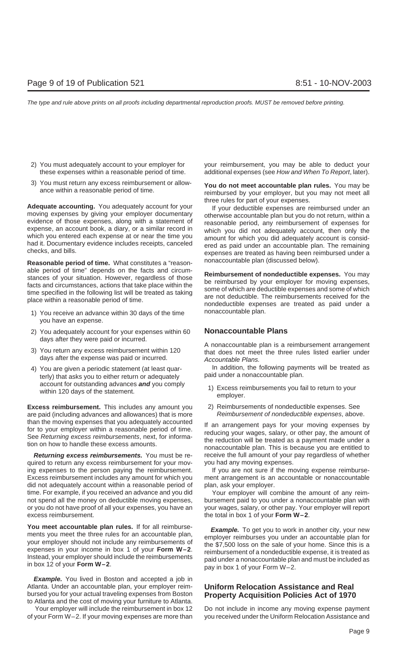- 
- 3) You must return any excess reimbursement or allow-<br>ance within a reasonable period of time.<br>reimbursed by your employer, but you may not meet all

Adequate accounting. You adequately account for your<br>
moving expenses by giving your employer documentary<br>
evidence of those expenses, along with a statement of<br>
expense, an account book, a diary, or a similar record in<br>
w

Reasonable period of time. What constitutes a "reason- nonaccountable plan (discussed below).

- 1) You receive an advance within 30 days of the time nonaccountable plan. you have an expense.
- 2) You adequately account for your expenses within 60 **Nonaccountable Plans**
- days after the expense was paid or incurred. Accountable Plans.
- terly) that asks you to either return or adequately account for outstanding advances **and** you comply 1) Excess reimbursements you fail to return to your within 120 days of the statement.

**Excess reimbursement.** This includes any amount you and 2) Reimbursements of nondeductible expenses. See are paid (including advances and allowances) that is more allowing *Reimbursement of nondeductible expenses*, above. are paid (including advances and allowances) that is more than the moving expenses that you adequately accounted<br>for to your employer within a reasonable period of time.<br>See Returning excess reimbursements, next, for informa-<br>tion on how to handle these excess amounts.<br>It is beca

quired to return any excess reimbursement for your mov- you had any moving expenses. ing expenses to the person paying the reimbursement. If you are not sure if the moving expense reimburse-Excess reimbursement includes any amount for which you ment arrangement is an accountable or nonaccountable did not adequately account within a reasonable period of plan, ask your employer. time. For example, if you received an advance and you did Your employer will combine the amount of any reimexcess reimbursement. the total in box 1 of your **Form W–2**.

**Example.** You lived in Boston and accepted a job in Atlanta. Under an accountable plan, your employer reim-<br> **Uniform Relocation Assistance and Real**<br> **Property Acquisition Policies Act of 1970** bursed you for your actual traveling expenses from Boston **Property Acquisition Policies Act of 1970** to Atlanta and the cost of moving your furniture to Atlanta.

of your Form W–2. If your moving expenses are more than you received under the Uniform Relocation Assistance and

2) You must adequately account to your employer for your reimbursement, you may be able to deduct your these expenses within a reasonable period of time. additional expenses (see How and When To Report, later).

able period of time" depends on the facts and circum-<br>stances of your situation. However, regardless of those<br>facts and circumstances, actions that take place within the<br>time specified in the following list will be treated

days after they were paid or incurred.<br>A nonaccountable plan is a reimbursement arrangement 3) You return any excess reimbursement within 120 that does not meet the three rules listed earlier under

4) You are given a periodic statement (at least quar-<br>terly) that asks you to either return or adequately<br>paid under a nonaccountable plan.

- 
- 

**Returning excess reimbursements.** You must be re- receive the full amount of your pay regardless of whether

not spend all the money on deductible moving expenses, bursement paid to you under a nonaccountable plan with or you do not have proof of all your expenses, you have an your wages, salary, or other pay. Your employer will report

**You meet accountable plan rules.** If for all reimburse-<br>ments you meet the three rules for an accountable plan,<br>your employer should not include any reimbursements of<br>expenses in your income in box 1 of your **Form W-2**.<br>

Your employer will include the reimbursement in box 12 Do not include in income any moving expense payment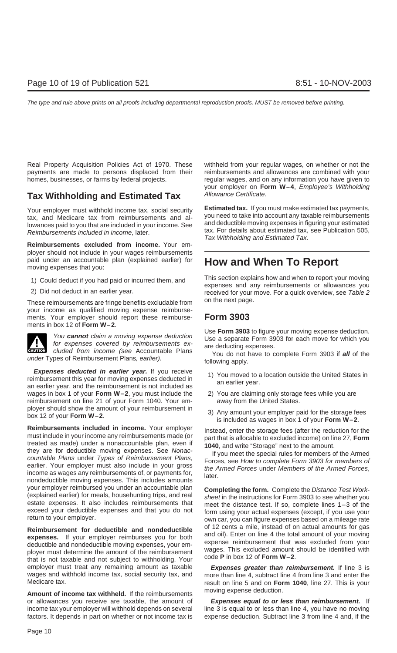Real Property Acquisition Policies Act of 1970. These withheld from your regular wages, on whether or not the payments are made to persons displaced from their reimbursements and allowances are combined with your homes, businesses, or farms by federal projects. regular wages, and on any information you have given to

# **Tax Withholding and Estimated Tax** Allowance Certificate.

**Reimbursements excluded from income.** Your employer should not include in your wages reimbursements paid under an accountable plan (explained earlier) for **How and When To Report** moving expenses that you:

- 
- 

These reimbursements are fringe benefits excludable from on the next page. your income as qualified moving expense reimbursements. Your employer should report these reimburse-<br>ments in box 12 of **Form W-2**.

**!**

**Expenses deducted in earlier year.** If you receive reimbursement this year for moving expenses deducted in an earlier year. The vertical vector of the reimbursement is not included as an earlier year. wages in box 1 of your **Form W-2**, you must include the 2) You are claiming only storage fees while you are reimbursement on line 21 of your Form 1040. Your em- away from the United States. ployer should show the amount of your reimbursement in 3) Any amount your employer paid for the storage fees box 12 of your **Form W–2**. is included as wages in box 1 of your **Form W–2**.

**Reimbursements included in income.** Your employer<br>must include in your income any reimbursements made (or<br>treated as made) under a nonaccountable plan, even if<br>and and write "Storage" payt to the amount treated as made) under a nonaccountable plan, even if<br>they are for deductible moving expenses. See Nonac-<br>countable Plans under Types of Reimbursement Plans,<br>earlier. Your employer must also include in your gross<br>income as your employer reimbursed you under an accountable plan **Completing the form.** Complete the *Distance Test Work-*<br>(explained earlier) for meals, househunting trips, and real sheet in the instructions for Form 3903 to see wh

**Reimbursement for deductible and nondeductible**<br> **expenses.** If your employer reimburses you for both<br>
deductible and nondeductible moving expenses, your em-<br>
ployer must determine the amount of the reimbursement<br>
that i employer must treat any remaining amount as taxable **Expenses greater than reimbursement.** If line 3 is wages and withhold income tax, social security tax, and more than line 4, subtract line 4 from line 3 and enter the wages and withhold income tax, social security tax, and more than line 4, subtract line 4 from line 3 and enter the<br>Medicare tax.

moving expense deduction. **Amount of income tax withheld.** If the reimbursements or allowances you receive are taxable, the amount of **Expenses equal to or less than reimbursement.** If income tax your employer will withhold depends on several line 3 is equal to or less than line 4, you have no moving factors. It depends in part on whether or not income tax is expense deduction. Subtract line 3 from line 4 and, if the

your employer on **Form W–4**, Employee's Withholding

Your employer must withhold income tax, social security<br>tax, and Medicare tax from reimbursements and al-<br>lowances paid to you that are included in your income. See and deductible moving expenses in figuring your estimated Reimbursements included in income, later.<br>Reimbursements included in income, later.<br>Tax Withholding and Estimated Tax.

1) Could deduct if you had paid or incurred them, and<br>2) Did not deduct in an earlier year.<br>2) Did not deduct in an earlier year.<br>2) Pid not deduct in an earlier year.

You **cannot** claim a moving expense deduction.<br>
for expenses covered by reimbursements ex-<br>
cluded from income (see Accountable Plans<br>
Not do not be a separate form 3903 for each move for which you<br>
cluded from income (see

You do not have to complete Form 3903 if **all** of the under Types of Reimbursement Plans, earlier). following apply.

- 
- 
- 

(explained earlier) for meals, nousenunting trips, and real<br>estate expenses. It also includes reimbursements that<br>exceed your deductible expenses and that you do not<br>return to your employer.<br>own car, you can figure expens

result on line 5 and on **Form 1040**, line 27. This is your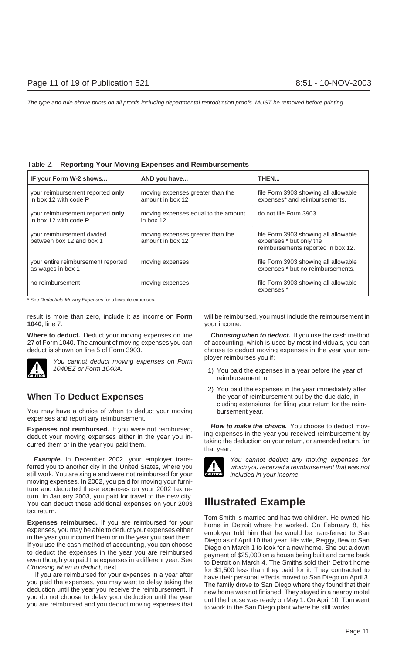| IF your Form W-2 shows                                    | AND you have                                         | THEN                                                                                                  |
|-----------------------------------------------------------|------------------------------------------------------|-------------------------------------------------------------------------------------------------------|
| your reimbursement reported only<br>in box 12 with code P | moving expenses greater than the<br>amount in box 12 | file Form 3903 showing all allowable<br>expenses* and reimbursements.                                 |
| your reimbursement reported only<br>in box 12 with code P | moving expenses equal to the amount<br>in box 12     | do not file Form 3903.                                                                                |
| your reimbursement divided<br>between box 12 and box 1    | moving expenses greater than the<br>amount in box 12 | file Form 3903 showing all allowable<br>expenses,* but only the<br>reimbursements reported in box 12. |
| your entire reimbursement reported<br>as wages in box 1   | moving expenses                                      | file Form 3903 showing all allowable<br>expenses,* but no reimbursements.                             |
| no reimbursement                                          | moving expenses                                      | file Form 3903 showing all allowable<br>expenses.*                                                    |

Table 2. **Reporting Your Moving Expenses and Reimbursements**

\* See Deductible Moving Expenses for allowable expenses.

**1040**, line 7. your income.

**Where to deduct.** Deduct your moving expenses on line **Choosing when to deduct.** If you use the cash method 27 of Form 1040. The amount of moving expenses you can of accounting, which is used by most individuals, you can deduct is shown on line 5 of Form 3903. choose to deduct moving expenses in the year your em-



You cannot deduct moving expenses on Form ployer reimburses you if: 1040EZ or Form 1040A. 1) You paid the expenses in a year before the year of

You may have a choice of when to deduct your moving bursement year. expenses and report any reimbursement.

**Example.** In December 2002, your employer trans- **You cannot deduct any moving expenses for** ferred you to another city in the United States, where you which you received a reimbursement that was not still work. You are single and were not reimbursed for your **cauTION** included in your income. moving expenses. In 2002, you paid for moving your furniture and deducted these expenses on your 2002 tax return. In January 2003, you paid for travel to the new city. You can deduct these additional expenses on your 2003 **Illustrated Example** tax return.

result is more than zero, include it as income on **Form** will be reimbursed, you must include the reimbursement in

- reimbursement, or
- 2) You paid the expenses in the year immediately after **When To Deduct Expenses** the year of reimbursement but by the due date, including extensions, for filing your return for the reim-

**Expenses not reimbursed.** If you were not reimbursed,<br>deduct your moving expenses either in the year you in-<br>curred them or in the year you paid them.<br>that year.<br>that year.



Expenses reimbursed. If you are reimbursed for your<br>
in Smith is married and has two children. He owned his<br>
expenses, you may be able to deduct your expenses either<br>
in the year you incurred them or in the year you paid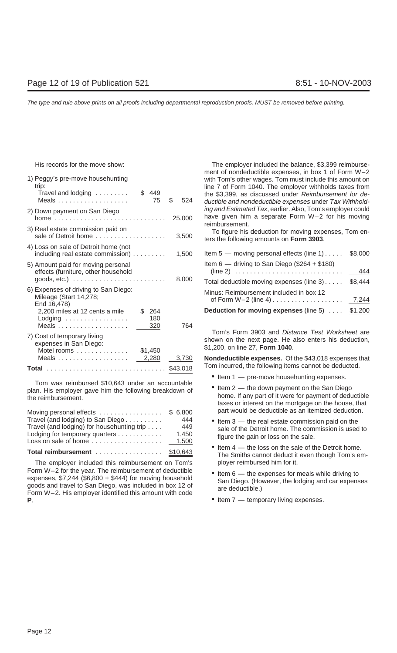| 1) Peggy's pre-move househunting<br>trip:<br>Travel and lodging  \$449        | 75                  | \$<br>524 | mont or nonacadotions experises, in look to<br>with Tom's other wages. Tom must include thi<br>line 7 of Form 1040. The employer withholds<br>the \$3,399, as discussed under Reimburser<br>ductible and nondeductible expenses under T |
|-------------------------------------------------------------------------------|---------------------|-----------|-----------------------------------------------------------------------------------------------------------------------------------------------------------------------------------------------------------------------------------------|
| 2) Down payment on San Diego                                                  |                     | 25,000    | ing and Estimated Tax, earlier. Also, Tom's em<br>have given him a separate Form W-2 for                                                                                                                                                |
| 3) Real estate commission paid on                                             |                     | 3,500     | reimbursement.<br>To figure his deduction for moving expens<br>ters the following amounts on Form 3903.                                                                                                                                 |
| 4) Loss on sale of Detroit home (not<br>including real estate commission)     |                     | 1,500     | Item 5 — moving personal effects (line 1)                                                                                                                                                                                               |
| 5) Amount paid for moving personal<br>effects (furniture, other household     |                     |           | Item 6 $-$ driving to San Diego (\$264 + \$180)                                                                                                                                                                                         |
| goods, etc.) $\ldots \ldots \ldots \ldots \ldots \ldots \ldots$               |                     | 8,000     | Total deductible moving expenses (line 3)                                                                                                                                                                                               |
| 6) Expenses of driving to San Diego:<br>Mileage (Start 14,278;<br>End 16,478) |                     |           | Minus: Reimbursement included in box 12<br>of Form $W-2$ (line 4)                                                                                                                                                                       |
| 2,200 miles at 12 cents a mile<br>Lodging $\dots\dots\dots\dots\dots\dots$    | \$264<br>180<br>320 | 764       | Deduction for moving expenses (line 5)                                                                                                                                                                                                  |
| 7) Cost of temporary living<br>expenses in San Diego:<br>Motel rooms          | \$1,450             |           | Tom's Form 3903 and Distance Test Wo<br>shown on the next page. He also enters his<br>\$1,200, on line 27, Form 1040.                                                                                                                   |
|                                                                               |                     | 3,730     | Nondeductible expenses. Of the \$43,018 ex                                                                                                                                                                                              |
|                                                                               |                     |           | Tom incurred, the following items cannot be c                                                                                                                                                                                           |
|                                                                               |                     |           |                                                                                                                                                                                                                                         |

Tom was reimbursed \$10,643 under an accountable<br>plan. His employer gave him the following breakdown of the number of the reimbursement.<br>the reimbursement.

| Moving personal effects  \$ 6,800          |          |
|--------------------------------------------|----------|
| Travel (and lodging) to San Diego          | 444      |
| Travel (and lodging) for househunting trip | 449      |
| Lodging for temporary quarters             | 1.450    |
|                                            | 1,500    |
| Total reimbursement                        | \$10,643 |

The employer included this reimbursement on Tom's ployer reimbursed him for it. Form W-2 for the year. The reimbursement of deductible<br>
expenses, \$7,244 (\$6,800 + \$444) for moving household<br>
goods and travel to San Diego, was included in box 12 of<br>
Form W-2. His employer identified this amount with co **P**.

His records for the move show: The employer included the balance, \$3,399 reimbursement of nondeductible expenses, in box 1 of Form W–2 with Tom's other wages. Tom must include this amount on line 7 of Form 1040. The employer withholds taxes from the \$3,399, as discussed under Reimbursement for deductible and nondeductible expenses under Tax Withholding and Estimated Tax, earlier. Also, Tom's employer could have given him a separate Form  $W-2$  for his moving reimbursement.

To figure his deduction for moving expenses, Tom enters the following amounts on **Form 3903**.

| $17 - 0000$ 0.1. 00.10 0.1 $\ge 0.1$ 0.1. 1.10.1.1.0.1.1.0.1<br>including real estate commission)                   | 1.500 | Item $5$ — moving personal effects (line 1)    | \$8,000 |
|---------------------------------------------------------------------------------------------------------------------|-------|------------------------------------------------|---------|
| 5) Amount paid for moving personal<br>effects (furniture, other household                                           |       | Item 6 — driving to San Diego (\$264 + \$180)  |         |
| goods, etc.) $\ldots \ldots \ldots \ldots \ldots \ldots \ldots$                                                     | 8.000 | Total deductible moving expenses (line 3)      | \$8,444 |
| 6) Expenses of driving to San Diego:<br>Mileage (Start 14,278;<br>End 16,478)                                       |       | Minus: Reimbursement included in box 12        |         |
| 2,200 miles at 12 cents a mile<br>\$264<br>المستحدث والمستحدث والمستحدث والمستحدث والمستحدث والمستحدث<br>$\sqrt{2}$ |       | <b>Deduction for moving expenses (line 5) </b> | \$1,200 |

Tom's Form 3903 and *Distance Test Worksheet* are shown on the next page. He also enters his deduction, \$1,200, on line 27, **Form 1040**.

Nondeductible expenses. Of the \$43,018 expenses that Tom incurred, the following items cannot be deducted.

- 
- taxes or interest on the mortgage on the house, that part would be deductible as an itemized deduction.
- $\bullet$  ltem 3 the real estate commission paid on the sale of the Detroit home. The commission is used to figure the gain or loss on the sale.<br>● Item 4 — the loss on the sale of the Detroit home.
- The Smiths cannot deduct it even though Tom's em-
- 
-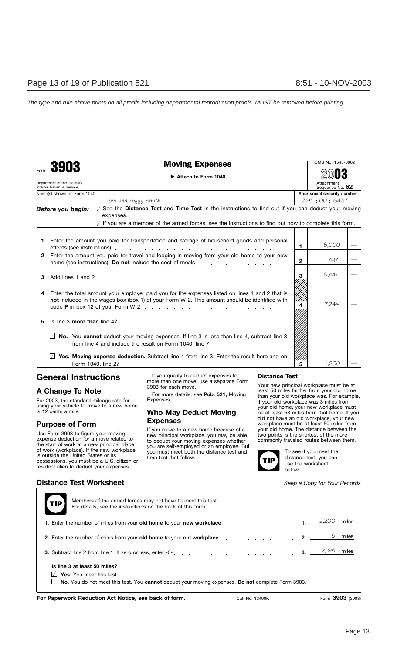- **Attach to Form 1040.**

Moving Expenses <u>Andrea Moving Expenses</u>

325 | 00 | 6437 **Attachment** Sequence No. **62** Name(s) shown on Form 1040 **Your social security number Your social security number 2003**

|   | See the <b>Distance Test</b> and <b>Time Test</b> in the instructions to find out if you can deduct your moving<br>Before you begin:<br>expenses.                                                                             |                         |       |  |
|---|-------------------------------------------------------------------------------------------------------------------------------------------------------------------------------------------------------------------------------|-------------------------|-------|--|
|   | $\sqrt{ }$ If you are a member of the armed forces, see the instructions to find out how to complete this form.                                                                                                               |                         |       |  |
|   | Enter the amount you paid for transportation and storage of household goods and personal                                                                                                                                      |                         | 8,000 |  |
|   | Enter the amount you paid for travel and lodging in moving from your old home to your new<br>home (see instructions). Do not include the cost of meals entitled as a set of meals                                             | 2                       | 444   |  |
| з | Add lines 1 and 2 response to the contract of the contract of the contract of the contract of the contract of the contract of the contract of the contract of the contract of the contract of the contract of the contract of |                         | 8,444 |  |
| 4 | Enter the total amount your employer paid you for the expenses listed on lines 1 and 2 that is<br>not included in the wages box (box 1) of your Form W-2. This amount should be identified with                               | V//////<br>4<br>,,,,,,, | 7,244 |  |

**5** Is line 3 **more than** line 4?

Form **3903**

Department of the Treasury Internal Revenue Service

> $\Box$  **No.** You **cannot** deduct your moving expenses. If line 3 is less than line 4, subtract line 3 from line 4 and include the result on Form 1040, line 7.

Tom and Peggy Smith

**Moving expense deduction.** Subtract line 4 from line 3. Enter the result here and on **Yes.** Form 1040, line 27

# **General Instructions**

## **A Change To Note**

For 2003, the standard mileage rate for using your vehicle to move to a new home is 12 cents a mile.

## **Purpose of Form**

Use Form 3903 to figure your moving expense deduction for a move related to the start of work at a new principal place of work (workplace). If the new workplace is outside the United States or its possessions, you must be a U.S. citizen or resident alien to deduct your expenses.

If you qualify to deduct expenses for more than one move, use a separate Form 3903 for each move.

For more details, see **Pub. 521,** Moving Expenses.

## **Who May Deduct Moving Expenses**

If you move to a new home because of a new principal workplace, you may be able to deduct your moving expenses whether you are self-employed or an employee. But you must meet both the distance test and time test that follow.

## **Distance Test**

Your new principal workplace must be at least 50 miles farther from your old home than your old workplace was. For example, if your old workplace was 3 miles from your old home, your new workplace must be at least 53 miles from that home. If you did not have an old workplace, your new workplace must be at least 50 miles from your old home. The distance between the two points is the shortest of the more commonly traveled routes between them.

**5**

1,200

—



To see if you meet the distance test, you can use the worksheet below.

## *Keep a Copy for Your Records*

| <b>Distance Test Worksheet</b> |
|--------------------------------|
|--------------------------------|

| For Paperwork Reduction Act Notice, see back of form.                                                                                                                | Cat. No. 12490K | Form 3903 (2003) |
|----------------------------------------------------------------------------------------------------------------------------------------------------------------------|-----------------|------------------|
| Is line 3 at least 50 miles?<br>Yes. You meet this test.<br>$\Box$ No. You do not meet this test. You cannot deduct your moving expenses. Do not complete Form 3903. |                 |                  |
|                                                                                                                                                                      |                 | miles            |
| 2. Enter the number of miles from your old home to your old workplace. 2.                                                                                            |                 | miles            |
| <b>1.</b> Enter the number of miles from your <b>old home</b> to your <b>new workplace</b> 1. 2,200                                                                  |                 | miles            |
| Members of the armed forces may not have to meet this test.<br><b>TIP</b><br>For details, see the instructions on the back of this form.                             |                 |                  |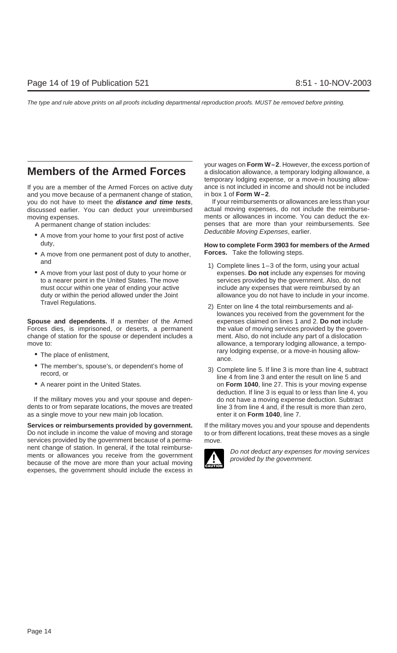If you are a member of the Armed Forces on active duty ance is not included in income and should not be included and you move because of a permanent change of station, in box 1 of **Form W–2**.<br>you do not have to meet the *distance and time tests*. If your reimbursements or allowances are less than your you do not have to meet the **distance and time tests**, discussed earlier. You can deduct your unreimbursed actual moving expenses, do not include the reimburse-

- A move from your home to your first post of active **Deductible Moving Expenses**, earlier.
- A move from one permanent post of duty to another, **Forces.** Take the following steps.
- Travel Regulations. 2) Enter on line 4 the total reimbursements and al-

**Spouse and dependents.** If a member of the Armed expenses claimed on lines 1 and 2. **Do not** include Forces dies, is imprisoned, or deserts, a permanent the value of moving services provided by the governchange of station for the spouse or dependent includes a ment. Also, do not include any part of a dislocation move to: **allowance**, a temporary lodging allowance, a tempo-

- 
- 
- 

If the military moves you and your spouse and depen- do not have a moving expense deduction. Subtract dents to or from separate locations, the moves are treated line 3 from line 4 and, if the result is more than zero, as a single move to your new main job location. **Example 20 and 1040**, line 7.

**Services or reimbursements provided by government.** If the military moves you and your spouse and dependents Do not include in income the value of moving and storage to or from different locations, treat these moves as a single services provided by the government because of a perma- move. nent change of station. In general, if the total reimburse-<br>ments or allowances you receive from the government<br>because of the move are more than your actual moving<br>movided by the government. expenses, the government should include the excess in

your wages on **Form W–2**. However, the excess portion of **Members of the Armed Forces** a dislocation allowance, a temporary lodging allowance, a temporary lodging expense, or a move-in housing allow-

moving expenses. The ments or allowances in income. You can deduct the ex-A permanent change of station includes: penses that are more than your reimbursements. See

duty, **How to complete Form 3903 for members of the Armed**

- and 1) Complete lines 1–3 of the form, using your actual • A move from your last post of duty to your home or expenses. **Do not** include any expenses for moving to a nearer point in the United States. The move services provided by the government. Also, do not must occur within one year of ending your active include any expenses that were reimbursed by an duty or within the period allowed under the Joint allowance you do not have to include in your income.
- lowances you received from the government for the rary lodging expense, or a move-in housing allow- • The place of enlistment, ance.
- The member's, spouse's, or dependent's home of 3) Complete line 5. If line 3 is more than line 4, subtract record, or line 5 and enter the result on line 5 and • A nearer point in the United States. **on Form 1040**, line 27. This is your moving expense deduction. If line 3 is equal to or less than line 4, you

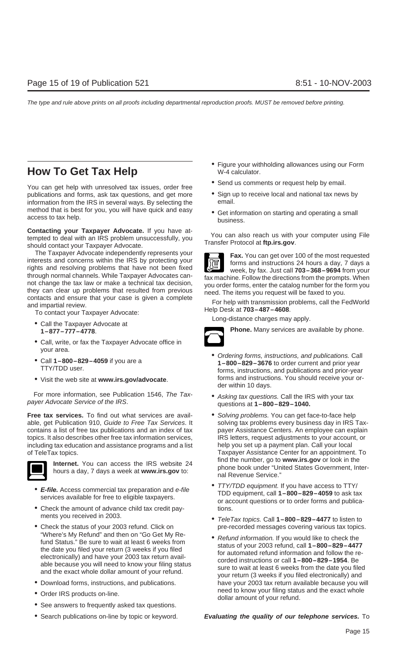# **How To Get Tax Help** W-4 calculator.

• Send us comments or request help by email. You can get help with unresolved tax issues, order free publications and forms, ask tax questions, and get more information from the IRS in several ways. By selecting the email. method that is best for you, you will have quick and easy <br>access to tax help.<br>business.

**Contacting your Taxpayer Advocate.** If you have at-<br>tempted to deal with an IRS problem unsuccessfully, you<br>should contact your Taxpayer Advocate. Transfer Protocol at ftp.irs.gov.

The Taxpayer Advocate independently represents your<br>
interests and concerns within the IRS by protecting your<br>
rights and resolving problems that have not been fixed<br>
through normal channels. While Taxpayer Advocates can-<br>

- 
- Call, write, or fax the Taxpayer Advocate office in
- 
- 

For more information, see Publication 1546, The Tax- • Asking tax questions. Call the IRS with your tax payer Advocate Service of the IRS. questions at **1–800–829–1040.**

**Free tax services.** To find out what services are avail-<br>able, get Publication 910, Guide to Free Tax Services. It solving tax problems every business day in IRS Taxable, get Publication 910, Guide to Free Tax Services. It contains a list of free tax publications and an index of tax payer Assistance Centers. An employee can explain topics. It also describes other free tax information services, IRS letters, request adjustments to your account, or including tax education and assistance programs and a list help you set up a payment plan. Call your local of TeleTax topics. Taxpayer Assistance Center for an appointment. To



- 
- Check the amount of advance child tax credit pay-<br>tions. ments you received in 2003. ● TeleTax topics. Call 1-800-829-4477 to listen to
- Check the status of your 2003 refund. Click on pre-recorded messages covering various tax topics.
- 
- 
- See answers to frequently asked tax questions.
- 
- Figure your withholding allowances using our Form
- 
- 
- 





**1–877–777–4778 Phone.** Many services are available by phone.

- your area.<br>
 Call 1–800–829–4059 if you are a<br>
 Call 1–800–829–4059 if you are a<br>
 Call 1–800–829–3676 to order current and prior year<br>
forms, instructions, and publications and prior-year<br>
forms, instructions, and pub • Visit the web site at **www.irs.gov/advocate** forms and instructions. You should receive your or-<br>der within 10 days.
	-
	- Internet. You can access the IRS website 24 find the number, go to www.irs.gov or look in the phone book under "United States Government, Inter-<br>hours a day, 7 days a week at www.irs.gov to:<br>nal Revenue Service."
- E-file. Access commercial tax preparation and e-file  **TTY/TDD** equipment. If you have access to TTY/<br>services available for free to eligible taxpayers.<br>or account questions or to order forms and publica-
	-
- "Where's My Refund" and then on "Go Get My Re-<br>fund Status." Be sure to wait at least 6 weeks from<br>the date you filed your return (3 weeks if you filed<br>electronically) and have your 2003 tax return avail-<br>able because you • Download forms, instructions, and publications. have your 2003 tax return available because you will • Order IRS products on-line.<br>
• Order IRS products on-line.<br>
dollar amount of your refund.

## • Search publications on-line by topic or keyword. **Evaluating the quality of our telephone services.** To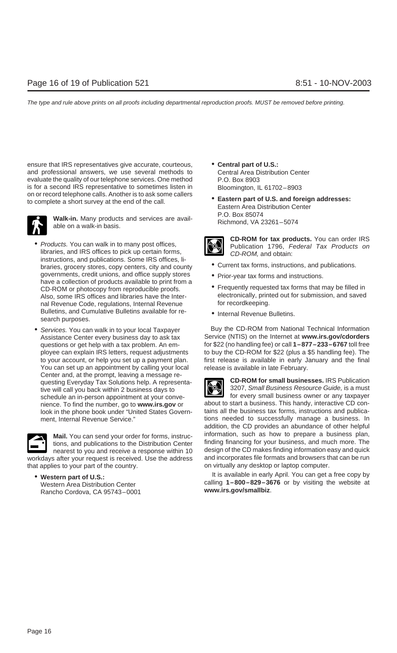ensure that IRS representatives give accurate, courteous, • **Central part of U.S.:** and professional answers, we use several methods to Central Area Distribution Center evaluate the quality of our telephone services. One method P.O. Box 8903 is for a second IRS representative to sometimes listen in Bloomington, IL 61702-8903 on or record telephone calls. Another is to ask some callers<br> **• Eastern part of U.S. and foreign addresses:**<br>
Eastern Area Distribution Center



**Walk-in.** Many products and services are avail-<br>able on a walk-in basis. **Richmond, VA 23261–5074** 

- libraries, and IRS offices to pick up certain forms, instructions, and publications. Some IRS offices, libraries, grocery stores, copy centers, city and county **•** Current tax forms, instructions, and publications. governments, credit unions, and office supply stores **•** Prior-year tax forms and instructions.<br>have a collection of products available to print from a Also, some IRS offices and libraries have the Inter- electronically, printed out for submission, and submissio<br>The Internal out of submission, and say that for submission, and say that for recordkeeping. nal Revenue Code, regulations, Internal Revenue Bulletins, and Cumulative Bulletins available for re-<br>• Internal Revenue Bulletins. search purposes.
- You can set up an appointment by calling your local release is available in late February. Center and, at the prompt, leaving a message retive will call you back within 2 business days to

that applies to your part of the country.

Rancho Cordova, CA 95743-0001

- 
- 



• Products. You can walk in to many post offices,<br>libraries, and IRS offices to pick up certain forms,<br>CD-ROM, and obtain:

- 
- 
- CD-ROM or photocopy from reproducible proofs.<br>Also, some IRS offices and libraries have the Inter-<br>electronically, printed out for submission, and saved
	-

Services. You can walk in to your local Taxpayer Buy the CD-ROM from National Technical Information Assistance Center every business day to ask tax Service (NTIS) on the Internet at **www.irs.gov/cdorders** questions or get help with a tax problem. An em- for \$22 (no handling fee) or call **1–877–233–6767** toll free ployee can explain IRS letters, request adjustments to buy the CD-ROM for \$22 (plus a \$5 handling fee). The to your account, or help you set up a payment plan. first release is available in early January and the final

questing Everyday Tax Solutions help. A representa- **CD-ROM for small businesses.** IRS Publication schedule an in-person appointment at your conve-<br> **For every small business owner or any taxpayer** nience. To find the number, go to www.irs.gov or about to start a business. This handy, interactive CD conlook in the phone book under "United States Govern-<br>
look in the phone book under "United States Govern-<br> ment, Internal Revenue Service." The state of the successfully manage a business. In addition, the CD provides an abundance of other helpful Mail. You can send your order for forms, instruc-<br>information, such as how to prepare a business plan, tions, and publications to the Distribution Center finding financing for your business, and much more. The nearest to you and receive a response within 10 design of the CD makes finding information easy and quick<br>s after your request is received Use the address and incorporates file formats and browsers that can be run workdays after your request is received. Use the address and incorporates file formats and browsers that applies to your part of the country.

• Western part of U.S.: **It is available in early April. You can get a free copy by it is available in early April. You can get a free copy by** Western Area Distribution Center<br>Western Area Distribution Center calling 1–800–829–3676 or by visiting the website at<br>Rancho Cordova CA 95743–0001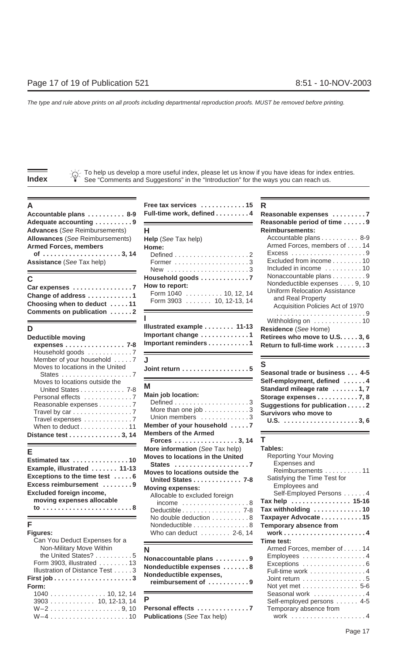To help us develop a more useful index, please let us know if you have ideas for index entries. **Index** See "Comments and Suggestions" in the "Introduction" for the ways you can reach us.

| Accountable plans  8-9                 | Full-time work, defined 4 Reasonable exper            |                                       |
|----------------------------------------|-------------------------------------------------------|---------------------------------------|
|                                        |                                                       | Reasonable perio                      |
| <b>Advances</b> (See Reimbursements)   |                                                       | <b>Reimbursements:</b>                |
| <b>Allowances (See Reimbursements)</b> | Help (See Tax help)                                   | Accountable plar                      |
| <b>Armed Forces, members</b>           | Home:                                                 | Armed Forces, m                       |
|                                        | Defined $\ldots \ldots \ldots \ldots \ldots \ldots$ 2 | $Excess$                              |
| <b>Assistance (See Tax help)</b>       |                                                       | Excluded from in<br>Ingluded in incon |

| Car expenses 7             |
|----------------------------|
| Change of address 1        |
| Choosing when to deduct 11 |
| Comments on publication 2  |

|                                                                                                                                                                 | $important$ reminders $\ldots \ldots \ldots \ldots$<br>R                                                                                                                               |  |
|-----------------------------------------------------------------------------------------------------------------------------------------------------------------|----------------------------------------------------------------------------------------------------------------------------------------------------------------------------------------|--|
| Household goods 7<br>Member of your household 7<br>Moves to locations in the United                                                                             | <b>S</b><br>Joint return 5<br>S                                                                                                                                                        |  |
| Moves to locations outside the<br>United States 7-8<br>Personal effects 7<br>Reasonable expenses 7<br>Travel by car 7<br>Travel expenses 7<br>When to deduct 11 | S<br>м<br>S<br><b>Main job location:</b><br>S<br>$\mathbf{s}$<br>More than one job 3<br>S <sup>I</sup><br>Union members 3<br>Member of your household 7<br><b>Members of the Armed</b> |  |
| Distance test 3, 14                                                                                                                                             |                                                                                                                                                                                        |  |

| Estimated tax 10                | Moves to locations in the United | Reporting Your Moving        |
|---------------------------------|----------------------------------|------------------------------|
|                                 |                                  | Expenses and                 |
| Example, illustrated  11-13     | Moves to locations outside the   | Reimbursements               |
| Exceptions to the time test 6   | United States 7-8                | Satisfying the Time Test for |
| Excess reimbursement 9          | <b>Moving expenses:</b>          | Employees and                |
| <b>Excluded foreign income,</b> | Allocable to excluded foreign    | Self-Employed Persons.       |
| moving expenses allocable       |                                  | Tax help                     |
|                                 | Deductible 7-8 Tax withholding   |                              |

| <b>Flaures:</b>                                                                                                                                            |                                                                                                          | work                                                                                |
|------------------------------------------------------------------------------------------------------------------------------------------------------------|----------------------------------------------------------------------------------------------------------|-------------------------------------------------------------------------------------|
| Can You Deduct Expenses for a<br>Non-Military Move Within<br>the United States? 5<br>Form 3903, illustrated 13<br>Illustration of Distance Test 3<br>Form: | N<br>Nonaccountable plans 9<br>Nondeductible expenses 8<br>Nondeductible expenses,<br>reimbursement of 9 | Time test:<br>Armed F<br>Employe<br>Exceptic<br>Full-time<br>Joint ret<br>Not yet r |
|                                                                                                                                                            | Personal effects 7<br><b>Publications (See Tax help)</b>                                                 | Seasona<br>Self-emp<br>Tempora<br>work                                              |

**A R Free tax services . . . . . . . . . . . . 15 Full-time work, defined .........4** 

| Help (See Tax help)     |
|-------------------------|
| :Home                   |
|                         |
|                         |
|                         |
| lousehold goods 7       |
| How to report:          |
| Form 1040 10, 12, 14    |
| Form 3903 10, 12-13, 14 |
|                         |

|                          | Illustrated example 11-13 Residence (See Home) |                         |
|--------------------------|------------------------------------------------|-------------------------|
| <b>Deductible moving</b> | Important change 1 Retirees who move to        |                         |
|                          | Important reminders 1                          | Return to full-time wor |

| 0.0.00<br>Personal effects 7<br>Reasonable expenses 7<br>Travel by car 7<br>Travel expenses 7<br>When to deduct 11<br>Distance test 3, 14                                       | <b>Main job location:</b><br>Defined $\ldots \ldots \ldots \ldots \ldots \ldots 3$<br>More than one job 3<br>Union members 3<br>Member of your household 7<br><b>Members of the Armed</b><br>Forces 3, 14                                                                                                  | Storage expenses<br><b>Suggestions for publicati</b><br><b>Survivors who move to</b><br>U.S.                                                                                  |
|---------------------------------------------------------------------------------------------------------------------------------------------------------------------------------|------------------------------------------------------------------------------------------------------------------------------------------------------------------------------------------------------------------------------------------------------------------------------------------------------------|-------------------------------------------------------------------------------------------------------------------------------------------------------------------------------|
| Е<br>Estimated tax 10<br>Example, illustrated  11-13<br>Exceptions to the time test 6<br>Excess reimbursement 9<br><b>Excluded foreign income,</b><br>moving expenses allocable | More information (See Tax help)<br>Moves to locations in the United<br>States 7<br>Moves to locations outside the<br>United States 7-8<br><b>Moving expenses:</b><br>Allocable to excluded foreign<br>income $\ldots \ldots \ldots \ldots \ldots 8$<br>Deductible $\ldots \ldots \ldots \ldots \ldots$ 7-8 | Tables:<br><b>Reporting Your Moving</b><br>Expenses and<br>Reimbursements<br>Satisfying the Time Test<br>Employees and<br>Self-Employed Person<br>Tax help<br>Tax withholding |
| F<br>Figures:<br>Can You Deduct Expenses for a                                                                                                                                  | No double deduction 8<br>Nondeductible 8<br>Who can deduct $\dots \dots$ 2-6, 14                                                                                                                                                                                                                           | Taxpayer Advocate<br><b>Temporary absence from</b><br>work<br>Time test:                                                                                                      |

| Form 3903, illustrated $\ldots \ldots \ldots$ 13<br>Illustration of Distance Test 3<br>First job $\ldots \ldots \ldots \ldots \ldots \ldots 3$<br>Form: | the United States? 5 Nonaccountable plans 9<br>Nondeductible expenses 8<br>Nondeductible expenses,<br>reimbursement of 9 | Employees 4<br>Full-time work 4<br>Joint return $\ldots \ldots \ldots \ldots \ldots 5$<br>Not yet met 5-6                                                      |
|---------------------------------------------------------------------------------------------------------------------------------------------------------|--------------------------------------------------------------------------------------------------------------------------|----------------------------------------------------------------------------------------------------------------------------------------------------------------|
| 3903 10, 12-13, 14 <b>P</b><br>11/2 a comparato de la Departe de la finale                                                                              |                                                                                                                          | Seasonal work 4<br>Self-employed persons 4-5<br>- ★★ contract contract with the contract of the contract of the contract of the contract of the contract of th |

| Accountable plans  8-9                                                                                                                  | Full-time work, defined 4                                                                | Reasonable expenses 7                                                                                                                            |
|-----------------------------------------------------------------------------------------------------------------------------------------|------------------------------------------------------------------------------------------|--------------------------------------------------------------------------------------------------------------------------------------------------|
| Adequate accounting 9<br><b>Advances</b> (See Reimbursements)<br><b>Allowances</b> (See Reimbursements)<br><b>Armed Forces, members</b> | н.<br>Help (See Tax help)<br>Home:                                                       | Reasonable period of time 9<br><b>Reimbursements:</b><br>Accountable plans 8-9<br>Armed Forces, members of 14                                    |
| <b>Assistance</b> (See Tax help)                                                                                                        | New 3                                                                                    | Excluded from income 10<br>Included in income $\dots\dots\dots\dots$                                                                             |
| C.<br>Car expenses 7<br>Change of address 1<br>Choosing when to deduct 11                                                               | Household goods 7<br>How to report:<br>Form 1040 10, 12, 14<br>Form $3903$ 10, 12-13, 14 | Nonaccountable plans 9<br>Nondeductible expenses 9, 10<br>Uniform Relocation Assistance<br>and Real Property<br>Acquisition Policies Act of 1970 |
| Comments on publication 2<br>D<br><b>Deductible moving</b><br>expenses 7-8                                                              | Illustrated example 11-13<br>Important change 1<br>Important reminders 1                 | Withholding on  10<br>Residence (See Home)<br>Retirees who move to U.S. 3, 6<br>Return to full-time work 3                                       |

| <b>IVIOVES IO IOCALIONS IN THE UNITED</b>                                                                                                                                                                                                                                                                                                | <u>Joint return 5</u>                      | Seasonal trade or business 4-5                           |
|------------------------------------------------------------------------------------------------------------------------------------------------------------------------------------------------------------------------------------------------------------------------------------------------------------------------------------------|--------------------------------------------|----------------------------------------------------------|
| Moves to locations outside the                                                                                                                                                                                                                                                                                                           |                                            | Self-employment, defined 4<br>Standard mileage rate 1, 7 |
| Personal effects 7                                                                                                                                                                                                                                                                                                                       | <b>Main job location:</b>                  | Storage expenses 7, 8                                    |
| Reasonable expenses 7                                                                                                                                                                                                                                                                                                                    |                                            | Suggestions for publication 2                            |
| Travel by car $\dots\dots\dots\dots\dots\dots$                                                                                                                                                                                                                                                                                           | More than one job $\dots\dots\dots\dots$ 3 | Survivors who move to                                    |
| Travel expenses 7<br>$\frac{1}{2}$ $\frac{1}{2}$ $\frac{1}{2}$ $\frac{1}{2}$ $\frac{1}{2}$ $\frac{1}{2}$ $\frac{1}{2}$ $\frac{1}{2}$ $\frac{1}{2}$ $\frac{1}{2}$ $\frac{1}{2}$ $\frac{1}{2}$ $\frac{1}{2}$ $\frac{1}{2}$ $\frac{1}{2}$ $\frac{1}{2}$ $\frac{1}{2}$ $\frac{1}{2}$ $\frac{1}{2}$ $\frac{1}{2}$ $\frac{1}{2}$ $\frac{1}{2}$ | Union members 3                            |                                                          |

| E<br>Estimated tax $\ldots \ldots \ldots \ldots \ldots 10$<br>Example, illustrated  11-13<br>Exceptions to the time test 6<br>Excess reimbursement 9<br><b>Excluded foreign income,</b><br>moving expenses allocable<br>F<br>Figures: | <b>More information</b> (See Tax help)<br>Moves to locations in the United<br>Moves to locations outside the<br>United States 7-8<br><b>Moving expenses:</b><br>Allocable to excluded foreign<br>income $\ldots \ldots \ldots \ldots \ldots 8$<br>Deductible 7-8<br>No double deduction 8<br>Nondeductible 8<br>Who can deduct 2-6, 14 | Tables:<br><b>Reporting Your Moving</b><br>Expenses and<br>Reimbursements 11<br>Satisfying the Time Test for<br>Employees and<br>Self-Employed Persons 4<br>Tax help 15-16<br>Tax withholding 10<br>Taxpayer Advocate15<br><b>Temporary absence from</b> |
|---------------------------------------------------------------------------------------------------------------------------------------------------------------------------------------------------------------------------------------|----------------------------------------------------------------------------------------------------------------------------------------------------------------------------------------------------------------------------------------------------------------------------------------------------------------------------------------|----------------------------------------------------------------------------------------------------------------------------------------------------------------------------------------------------------------------------------------------------------|
| Can You Deduct Expenses for a<br>Non-Military Move Within<br>the United States? 5<br>Form 3903, illustrated 13<br>Illustration of Distance Test 3<br>Form:                                                                            | N<br>Nonaccountable plans 9<br>Nondeductible expenses 8<br>Nondeductible expenses,<br>reimbursement of  9<br>P<br>Personal effects 7<br><b>Publications (See Tax help)</b>                                                                                                                                                             | Time test:<br>Armed Forces, member of 14<br>Employees 4<br>Exceptions 6<br>Full-time work 4<br>Joint return $\dots\dots\dots\dots\dots\dots5$<br>Not yet met 5-6<br>Seasonal work 4<br>Self-employed persons 4-5<br>Temporary absence from               |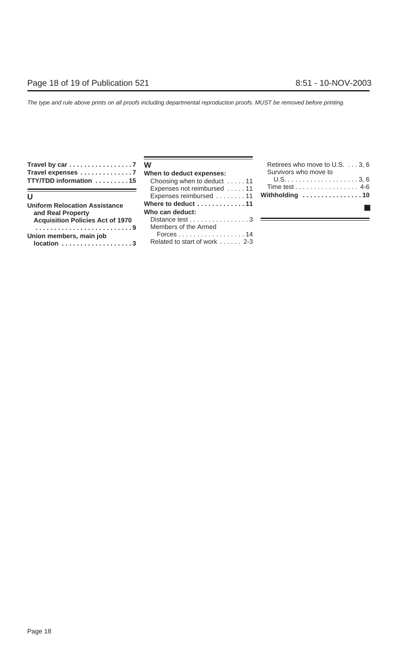| Travel by car 7 W<br>Travel expenses 7<br>TTY/TDD information 15                                                                                                                  | When to deduct expenses:<br>Choosing when to deduct 11<br>Expenses not reimbursed 11 | Retirees who move to U.S. 3, 6<br>Survivors who move to<br>Time test 4-6 |
|-----------------------------------------------------------------------------------------------------------------------------------------------------------------------------------|--------------------------------------------------------------------------------------|--------------------------------------------------------------------------|
| <u> Tanzania de la contrada de la contrada de la contrada de la contrada de la contrada de la contrada de la con</u><br><b>Uniform Relocation Assistance</b><br>and Real Property | Expenses reimbursed 11<br>Where to deduct 11<br>Who can deduct:<br>Distance test 3   | Withholding 10                                                           |
| <b>Acquisition Policies Act of 1970</b><br>Union members, main job                                                                                                                | Members of the Armed                                                                 |                                                                          |

Union members, main job Forces . . . . . . . . . . . . . . . . . . 14 **location** . . . . . . . . . . . . . . . . . 3 Related to start of work . . . . . . 2-3

| Retirees who move to U.S. 3, 6                          |  |
|---------------------------------------------------------|--|
| Survivors who move to                                   |  |
|                                                         |  |
| Time test $\dots$ , $\dots$ , $\dots$ , $\dots$ , $4-6$ |  |
| ithholding 10                                           |  |
|                                                         |  |
|                                                         |  |